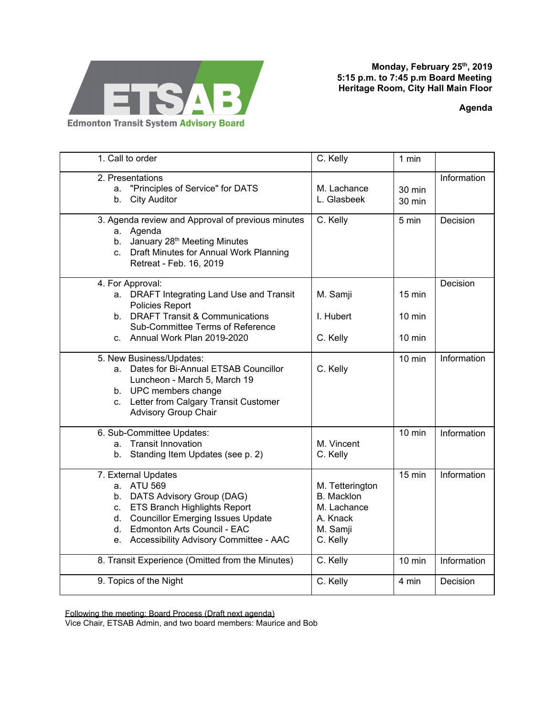

**Monday, February 25 th , 2019 5:15 p.m. to 7:45 p.m Board Meeting Heritage Room, City Hall Main Floor**

**Agenda**

| 1. Call to order                                  |                                           | C. Kelly          | 1 min            |             |
|---------------------------------------------------|-------------------------------------------|-------------------|------------------|-------------|
| 2. Presentations                                  |                                           |                   |                  | Information |
| "Principles of Service" for DATS<br>a.            |                                           | M. Lachance       | 30 min           |             |
|                                                   |                                           |                   |                  |             |
| b.                                                | <b>City Auditor</b>                       | L. Glasbeek       | $30 \text{ min}$ |             |
| 3. Agenda review and Approval of previous minutes |                                           | C. Kelly          | 5 min            | Decision    |
|                                                   | a. Agenda                                 |                   |                  |             |
| b.                                                | January 28 <sup>th</sup> Meeting Minutes  |                   |                  |             |
| C.                                                | Draft Minutes for Annual Work Planning    |                   |                  |             |
|                                                   | Retreat - Feb. 16, 2019                   |                   |                  |             |
|                                                   |                                           |                   |                  |             |
| 4. For Approval:                                  |                                           |                   |                  | Decision    |
|                                                   | a. DRAFT Integrating Land Use and Transit | M. Samji          | $15 \text{ min}$ |             |
|                                                   | Policies Report                           |                   |                  |             |
|                                                   | b. DRAFT Transit & Communications         | I. Hubert         | $10 \text{ min}$ |             |
|                                                   | Sub-Committee Terms of Reference          |                   |                  |             |
|                                                   | c. Annual Work Plan 2019-2020             | C. Kelly          | $10 \text{ min}$ |             |
|                                                   |                                           |                   |                  |             |
| 5. New Business/Updates:                          |                                           |                   | $10$ min         | Information |
|                                                   | a. Dates for Bi-Annual ETSAB Councillor   | C. Kelly          |                  |             |
|                                                   | Luncheon - March 5, March 19              |                   |                  |             |
|                                                   | b. UPC members change                     |                   |                  |             |
|                                                   | c. Letter from Calgary Transit Customer   |                   |                  |             |
|                                                   | <b>Advisory Group Chair</b>               |                   |                  |             |
|                                                   |                                           |                   |                  |             |
|                                                   | 6. Sub-Committee Updates:                 |                   | $10$ min         | Information |
| a.                                                | <b>Transit Innovation</b>                 | M. Vincent        |                  |             |
| b.                                                | Standing Item Updates (see p. 2)          | C. Kelly          |                  |             |
|                                                   |                                           |                   | $15 \text{ min}$ |             |
|                                                   | 7. External Updates                       |                   |                  | Information |
|                                                   | a. ATU 569                                | M. Tetterington   |                  |             |
|                                                   | b. DATS Advisory Group (DAG)              | <b>B.</b> Macklon |                  |             |
| C.                                                | <b>ETS Branch Highlights Report</b>       | M. Lachance       |                  |             |
| d.                                                | <b>Councillor Emerging Issues Update</b>  | A. Knack          |                  |             |
| d.                                                | Edmonton Arts Council - EAC               | M. Samji          |                  |             |
|                                                   | e. Accessibility Advisory Committee - AAC | C. Kelly          |                  |             |
|                                                   |                                           |                   |                  |             |
| 8. Transit Experience (Omitted from the Minutes)  |                                           | C. Kelly          | $10$ min         | Information |
|                                                   |                                           |                   |                  |             |
| 9. Topics of the Night                            |                                           | C. Kelly          | 4 min            | Decision    |

Following the meeting: Board Process (Draft next agenda)

Vice Chair, ETSAB Admin, and two board members: Maurice and Bob